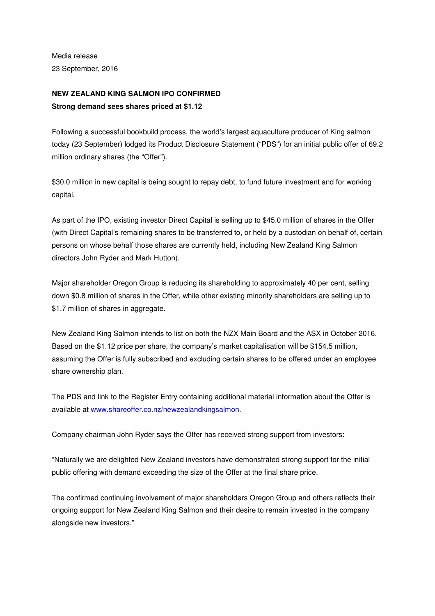Media release 23 September, 2016

## **NEW ZEALAND KING SALMON IPO CONFIRMED Strong demand sees shares priced at \$1.12**

Following a successful bookbuild process, the world's largest aquaculture producer of King salmon today (23 September) lodged its Product Disclosure Statement ("PDS") for an initial public offer of 69.2 million ordinary shares (the "Offer").

\$30.0 million in new capital is being sought to repay debt, to fund future investment and for working capital.

As part of the IPO, existing investor Direct Capital is selling up to \$45.0 million of shares in the Offer (with Direct Capital's remaining shares to be transferred to, or held by a custodian on behalf of, certain persons on whose behalf those shares are currently held, including New Zealand King Salmon directors John Ryder and Mark Hutton).

Major shareholder Oregon Group is reducing its shareholding to approximately 40 per cent, selling down \$0.8 million of shares in the Offer, while other existing minority shareholders are selling up to \$1.7 million of shares in aggregate.

New Zealand King Salmon intends to list on both the NZX Main Board and the ASX in October 2016. Based on the \$1.12 price per share, the company's market capitalisation will be \$154.5 million, assuming the Offer is fully subscribed and excluding certain shares to be offered under an employee share ownership plan.

The PDS and link to the Register Entry containing additional material information about the Offer is available at www.shareoffer.co.nz/newzealandkingsalmon.

Company chairman John Ryder says the Offer has received strong support from investors:

"Naturally we are delighted New Zealand investors have demonstrated strong support for the initial public offering with demand exceeding the size of the Offer at the final share price.

The confirmed continuing involvement of major shareholders Oregon Group and others reflects their ongoing support for New Zealand King Salmon and their desire to remain invested in the company alongside new investors."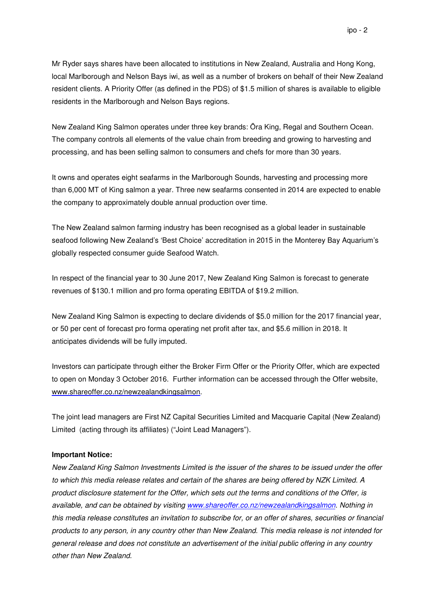Mr Ryder says shares have been allocated to institutions in New Zealand, Australia and Hong Kong, local Marlborough and Nelson Bays iwi, as well as a number of brokers on behalf of their New Zealand resident clients. A Priority Offer (as defined in the PDS) of \$1.5 million of shares is available to eligible residents in the Marlborough and Nelson Bays regions.

New Zealand King Salmon operates under three key brands: Ōra King, Regal and Southern Ocean. The company controls all elements of the value chain from breeding and growing to harvesting and processing, and has been selling salmon to consumers and chefs for more than 30 years.

It owns and operates eight seafarms in the Marlborough Sounds, harvesting and processing more than 6,000 MT of King salmon a year. Three new seafarms consented in 2014 are expected to enable the company to approximately double annual production over time.

The New Zealand salmon farming industry has been recognised as a global leader in sustainable seafood following New Zealand's 'Best Choice' accreditation in 2015 in the Monterey Bay Aquarium's globally respected consumer guide Seafood Watch.

In respect of the financial year to 30 June 2017, New Zealand King Salmon is forecast to generate revenues of \$130.1 million and pro forma operating EBITDA of \$19.2 million.

New Zealand King Salmon is expecting to declare dividends of \$5.0 million for the 2017 financial year, or 50 per cent of forecast pro forma operating net profit after tax, and \$5.6 million in 2018. It anticipates dividends will be fully imputed.

Investors can participate through either the Broker Firm Offer or the Priority Offer, which are expected to open on Monday 3 October 2016. Further information can be accessed through the Offer website, www.shareoffer.co.nz/newzealandkingsalmon.

The joint lead managers are First NZ Capital Securities Limited and Macquarie Capital (New Zealand) Limited (acting through its affiliates) ("Joint Lead Managers").

## **Important Notice:**

New Zealand King Salmon Investments Limited is the issuer of the shares to be issued under the offer to which this media release relates and certain of the shares are being offered by NZK Limited. A product disclosure statement for the Offer, which sets out the terms and conditions of the Offer, is available, and can be obtained by visiting www.shareoffer.co.nz/newzealandkingsalmon. Nothing in this media release constitutes an invitation to subscribe for, or an offer of shares, securities or financial products to any person, in any country other than New Zealand. This media release is not intended for general release and does not constitute an advertisement of the initial public offering in any country other than New Zealand.